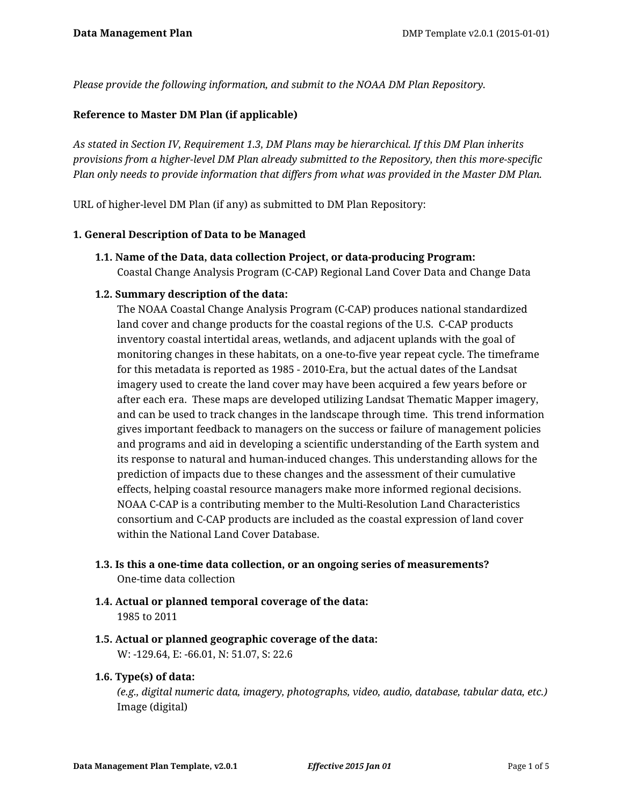*Please provide the following information, and submit to the NOAA DM Plan Repository.*

#### **Reference to Master DM Plan (if applicable)**

*As stated in Section IV, Requirement 1.3, DM Plans may be hierarchical. If this DM Plan inherits provisions from a higher-level DM Plan already submitted to the Repository, then this more-specific Plan only needs to provide information that differs from what was provided in the Master DM Plan.*

URL of higher-level DM Plan (if any) as submitted to DM Plan Repository:

#### **1. General Description of Data to be Managed**

**1.1. Name of the Data, data collection Project, or data-producing Program:** Coastal Change Analysis Program (C-CAP) Regional Land Cover Data and Change Data

#### **1.2. Summary description of the data:**

The NOAA Coastal Change Analysis Program (C-CAP) produces national standardized land cover and change products for the coastal regions of the U.S. C-CAP products inventory coastal intertidal areas, wetlands, and adjacent uplands with the goal of monitoring changes in these habitats, on a one-to-five year repeat cycle. The timeframe for this metadata is reported as 1985 - 2010-Era, but the actual dates of the Landsat imagery used to create the land cover may have been acquired a few years before or after each era. These maps are developed utilizing Landsat Thematic Mapper imagery, and can be used to track changes in the landscape through time. This trend information gives important feedback to managers on the success or failure of management policies and programs and aid in developing a scientific understanding of the Earth system and its response to natural and human-induced changes. This understanding allows for the prediction of impacts due to these changes and the assessment of their cumulative effects, helping coastal resource managers make more informed regional decisions. NOAA C-CAP is a contributing member to the Multi-Resolution Land Characteristics consortium and C-CAP products are included as the coastal expression of land cover within the National Land Cover Database.

- **1.3. Is this a one-time data collection, or an ongoing series of measurements?** One-time data collection
- **1.4. Actual or planned temporal coverage of the data:** 1985 to 2011
- **1.5. Actual or planned geographic coverage of the data:** W: -129.64, E: -66.01, N: 51.07, S: 22.6

## **1.6. Type(s) of data:**

*(e.g., digital numeric data, imagery, photographs, video, audio, database, tabular data, etc.)* Image (digital)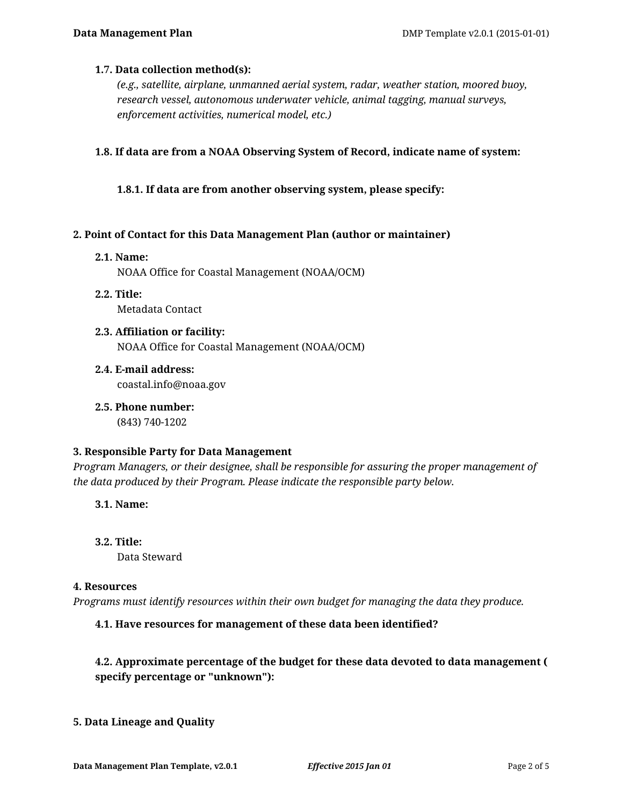#### **1.7. Data collection method(s):**

*(e.g., satellite, airplane, unmanned aerial system, radar, weather station, moored buoy, research vessel, autonomous underwater vehicle, animal tagging, manual surveys, enforcement activities, numerical model, etc.)*

#### **1.8. If data are from a NOAA Observing System of Record, indicate name of system:**

#### **1.8.1. If data are from another observing system, please specify:**

#### **2. Point of Contact for this Data Management Plan (author or maintainer)**

#### **2.1. Name:**

NOAA Office for Coastal Management (NOAA/OCM)

- **2.2. Title:** Metadata Contact
- **2.3. Affiliation or facility:** NOAA Office for Coastal Management (NOAA/OCM)
- **2.4. E-mail address:** coastal.info@noaa.gov
- **2.5. Phone number:** (843) 740-1202

#### **3. Responsible Party for Data Management**

*Program Managers, or their designee, shall be responsible for assuring the proper management of the data produced by their Program. Please indicate the responsible party below.*

**3.1. Name:**

**3.2. Title:** Data Steward

#### **4. Resources**

*Programs must identify resources within their own budget for managing the data they produce.*

## **4.1. Have resources for management of these data been identified?**

# **4.2. Approximate percentage of the budget for these data devoted to data management ( specify percentage or "unknown"):**

#### **5. Data Lineage and Quality**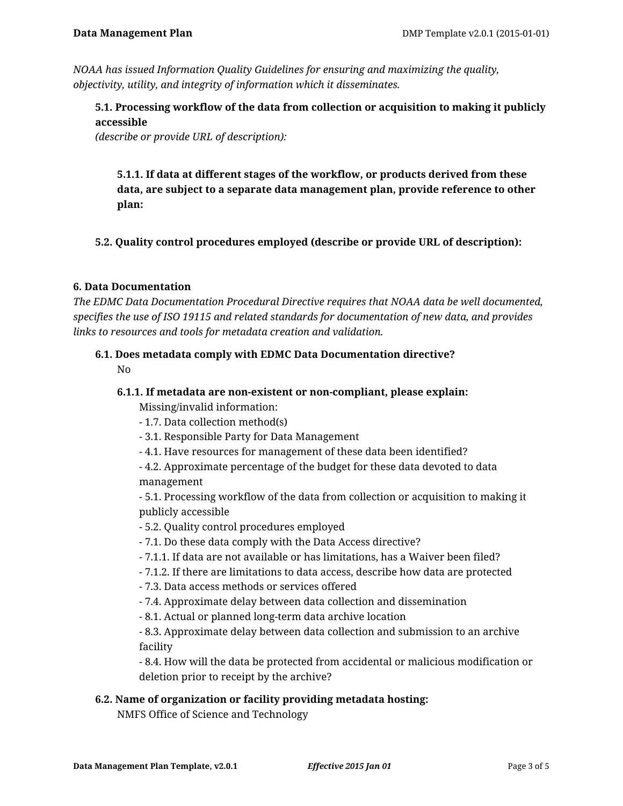*NOAA has issued Information Quality Guidelines for ensuring and maximizing the quality, objectivity, utility, and integrity of information which it disseminates.*

**5.1. Processing workflow of the data from collection or acquisition to making it publicly accessible** 

*(describe or provide URL of description):*

**5.1.1. If data at different stages of the workflow, or products derived from these data, are subject to a separate data management plan, provide reference to other plan:**

**5.2. Quality control procedures employed (describe or provide URL of description):**

## **6. Data Documentation**

*The EDMC Data Documentation Procedural Directive requires that NOAA data be well documented, specifies the use of ISO 19115 and related standards for documentation of new data, and provides links to resources and tools for metadata creation and validation.*

# **6.1. Does metadata comply with EDMC Data Documentation directive?**

No

## **6.1.1. If metadata are non-existent or non-compliant, please explain:** Missing/invalid information:

- 1.7. Data collection method(s)

- 3.1. Responsible Party for Data Management

- 4.1. Have resources for management of these data been identified?

- 4.2. Approximate percentage of the budget for these data devoted to data management

- 5.1. Processing workflow of the data from collection or acquisition to making it publicly accessible

- 5.2. Quality control procedures employed

#### - 7.1. Do these data comply with the Data Access directive?

- 7.1.1. If data are not available or has limitations, has a Waiver been filed?
- 7.1.2. If there are limitations to data access, describe how data are protected
- 7.3. Data access methods or services offered
- 7.4. Approximate delay between data collection and dissemination
- 8.1. Actual or planned long-term data archive location

- 8.3. Approximate delay between data collection and submission to an archive facility

- 8.4. How will the data be protected from accidental or malicious modification or deletion prior to receipt by the archive?

## **6.2. Name of organization or facility providing metadata hosting:**

NMFS Office of Science and Technology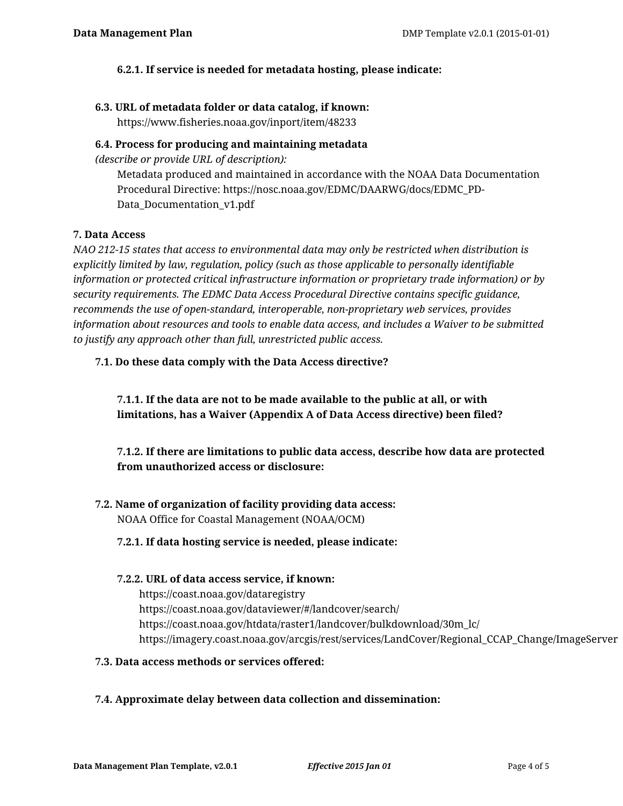## **6.2.1. If service is needed for metadata hosting, please indicate:**

## **6.3. URL of metadata folder or data catalog, if known:**

https://www.fisheries.noaa.gov/inport/item/48233

## **6.4. Process for producing and maintaining metadata**

*(describe or provide URL of description):*

Metadata produced and maintained in accordance with the NOAA Data Documentation Procedural Directive: https://nosc.noaa.gov/EDMC/DAARWG/docs/EDMC\_PD-Data Documentation v1.pdf

## **7. Data Access**

*NAO 212-15 states that access to environmental data may only be restricted when distribution is explicitly limited by law, regulation, policy (such as those applicable to personally identifiable information or protected critical infrastructure information or proprietary trade information) or by security requirements. The EDMC Data Access Procedural Directive contains specific guidance, recommends the use of open-standard, interoperable, non-proprietary web services, provides information about resources and tools to enable data access, and includes a Waiver to be submitted to justify any approach other than full, unrestricted public access.*

# **7.1. Do these data comply with the Data Access directive?**

**7.1.1. If the data are not to be made available to the public at all, or with limitations, has a Waiver (Appendix A of Data Access directive) been filed?**

**7.1.2. If there are limitations to public data access, describe how data are protected from unauthorized access or disclosure:**

**7.2. Name of organization of facility providing data access:** NOAA Office for Coastal Management (NOAA/OCM)

## **7.2.1. If data hosting service is needed, please indicate:**

## **7.2.2. URL of data access service, if known:**

https://coast.noaa.gov/dataregistry https://coast.noaa.gov/dataviewer/#/landcover/search/ https://coast.noaa.gov/htdata/raster1/landcover/bulkdownload/30m\_lc/ https://imagery.coast.noaa.gov/arcgis/rest/services/LandCover/Regional\_CCAP\_Change/ImageServer

**7.3. Data access methods or services offered:**

# **7.4. Approximate delay between data collection and dissemination:**